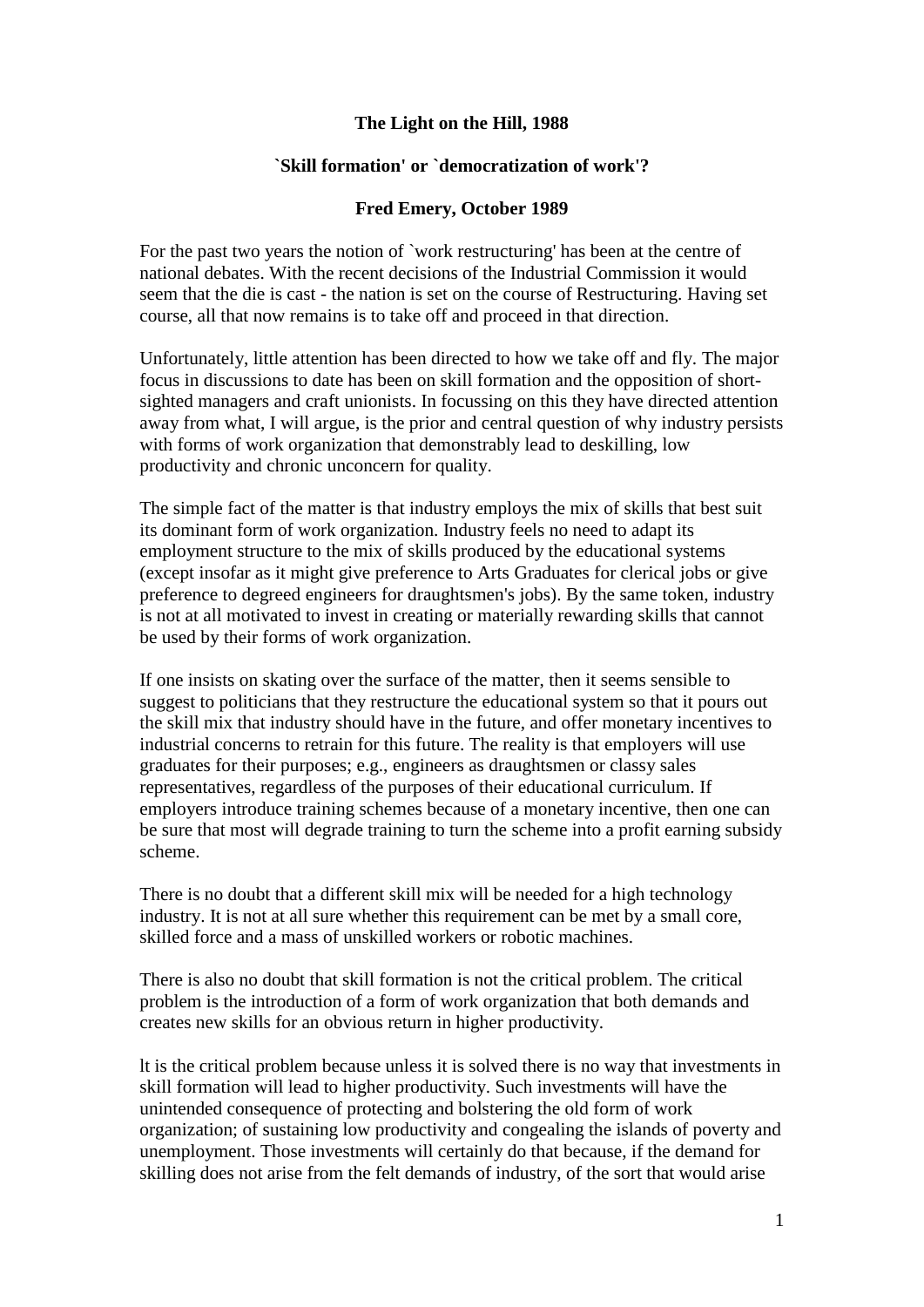### **The Light on the Hill, 1988**

### **`Skill formation' or `democratization of work'?**

#### **Fred Emery, October 1989**

For the past two years the notion of `work restructuring' has been at the centre of national debates. With the recent decisions of the Industrial Commission it would seem that the die is cast - the nation is set on the course of Restructuring. Having set course, all that now remains is to take off and proceed in that direction.

Unfortunately, little attention has been directed to how we take off and fly. The major focus in discussions to date has been on skill formation and the opposition of shortsighted managers and craft unionists. In focussing on this they have directed attention away from what, I will argue, is the prior and central question of why industry persists with forms of work organization that demonstrably lead to deskilling, low productivity and chronic unconcern for quality.

The simple fact of the matter is that industry employs the mix of skills that best suit its dominant form of work organization. Industry feels no need to adapt its employment structure to the mix of skills produced by the educational systems (except insofar as it might give preference to Arts Graduates for clerical jobs or give preference to degreed engineers for draughtsmen's jobs). By the same token, industry is not at all motivated to invest in creating or materially rewarding skills that cannot be used by their forms of work organization.

If one insists on skating over the surface of the matter, then it seems sensible to suggest to politicians that they restructure the educational system so that it pours out the skill mix that industry should have in the future, and offer monetary incentives to industrial concerns to retrain for this future. The reality is that employers will use graduates for their purposes; e.g., engineers as draughtsmen or classy sales representatives, regardless of the purposes of their educational curriculum. If employers introduce training schemes because of a monetary incentive, then one can be sure that most will degrade training to turn the scheme into a profit earning subsidy scheme.

There is no doubt that a different skill mix will be needed for a high technology industry. It is not at all sure whether this requirement can be met by a small core, skilled force and a mass of unskilled workers or robotic machines.

There is also no doubt that skill formation is not the critical problem. The critical problem is the introduction of a form of work organization that both demands and creates new skills for an obvious return in higher productivity.

lt is the critical problem because unless it is solved there is no way that investments in skill formation will lead to higher productivity. Such investments will have the unintended consequence of protecting and bolstering the old form of work organization; of sustaining low productivity and congealing the islands of poverty and unemployment. Those investments will certainly do that because, if the demand for skilling does not arise from the felt demands of industry, of the sort that would arise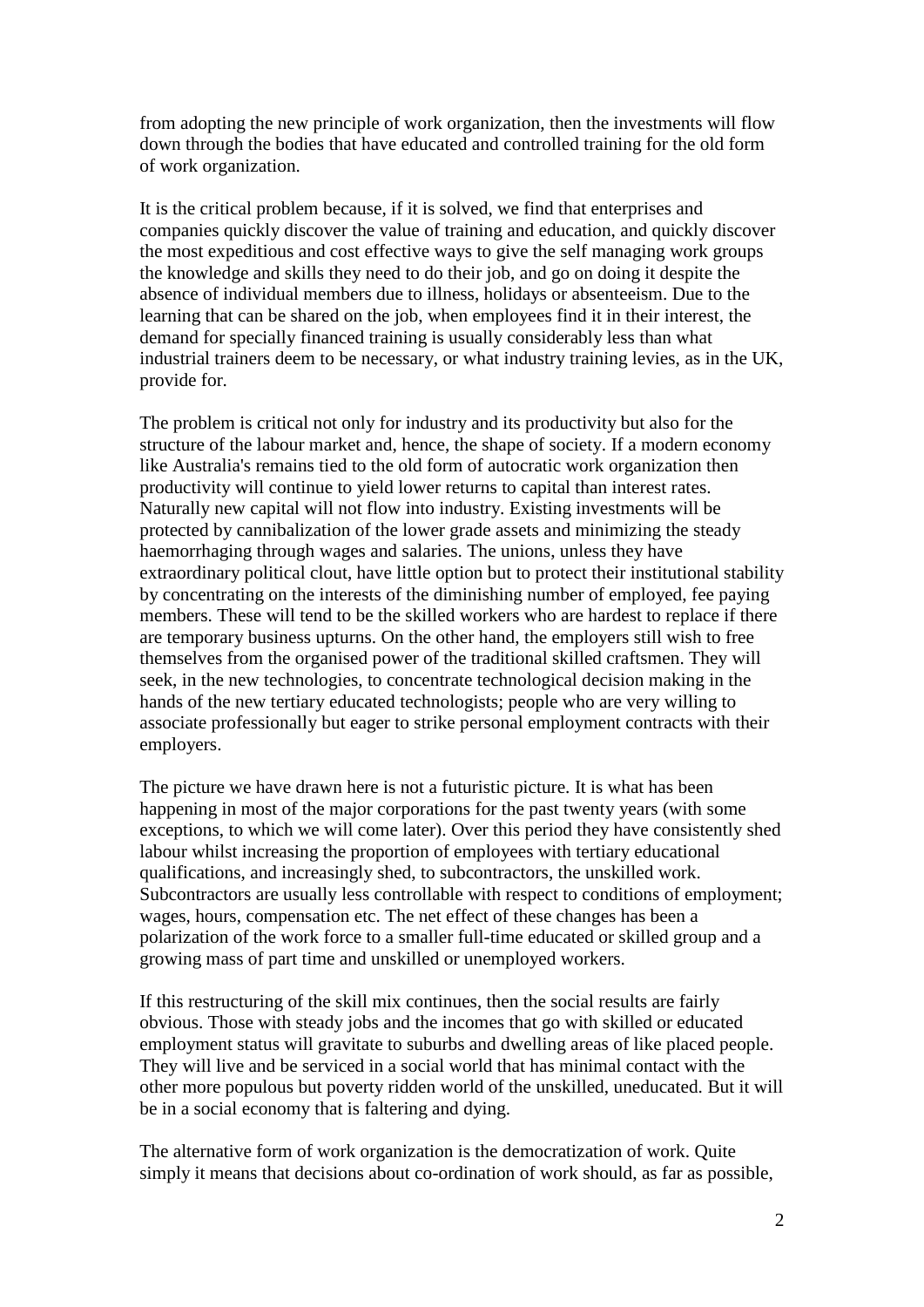from adopting the new principle of work organization, then the investments will flow down through the bodies that have educated and controlled training for the old form of work organization.

It is the critical problem because, if it is solved, we find that enterprises and companies quickly discover the value of training and education, and quickly discover the most expeditious and cost effective ways to give the self managing work groups the knowledge and skills they need to do their job, and go on doing it despite the absence of individual members due to illness, holidays or absenteeism. Due to the learning that can be shared on the job, when employees find it in their interest, the demand for specially financed training is usually considerably less than what industrial trainers deem to be necessary, or what industry training levies, as in the UK, provide for.

The problem is critical not only for industry and its productivity but also for the structure of the labour market and, hence, the shape of society. If a modern economy like Australia's remains tied to the old form of autocratic work organization then productivity will continue to yield lower returns to capital than interest rates. Naturally new capital will not flow into industry. Existing investments will be protected by cannibalization of the lower grade assets and minimizing the steady haemorrhaging through wages and salaries. The unions, unless they have extraordinary political clout, have little option but to protect their institutional stability by concentrating on the interests of the diminishing number of employed, fee paying members. These will tend to be the skilled workers who are hardest to replace if there are temporary business upturns. On the other hand, the employers still wish to free themselves from the organised power of the traditional skilled craftsmen. They will seek, in the new technologies, to concentrate technological decision making in the hands of the new tertiary educated technologists; people who are very willing to associate professionally but eager to strike personal employment contracts with their employers.

The picture we have drawn here is not a futuristic picture. It is what has been happening in most of the major corporations for the past twenty years (with some exceptions, to which we will come later). Over this period they have consistently shed labour whilst increasing the proportion of employees with tertiary educational qualifications, and increasingly shed, to subcontractors, the unskilled work. Subcontractors are usually less controllable with respect to conditions of employment; wages, hours, compensation etc. The net effect of these changes has been a polarization of the work force to a smaller full-time educated or skilled group and a growing mass of part time and unskilled or unemployed workers.

If this restructuring of the skill mix continues, then the social results are fairly obvious. Those with steady jobs and the incomes that go with skilled or educated employment status will gravitate to suburbs and dwelling areas of like placed people. They will live and be serviced in a social world that has minimal contact with the other more populous but poverty ridden world of the unskilled, uneducated. But it will be in a social economy that is faltering and dying.

The alternative form of work organization is the democratization of work. Quite simply it means that decisions about co-ordination of work should, as far as possible,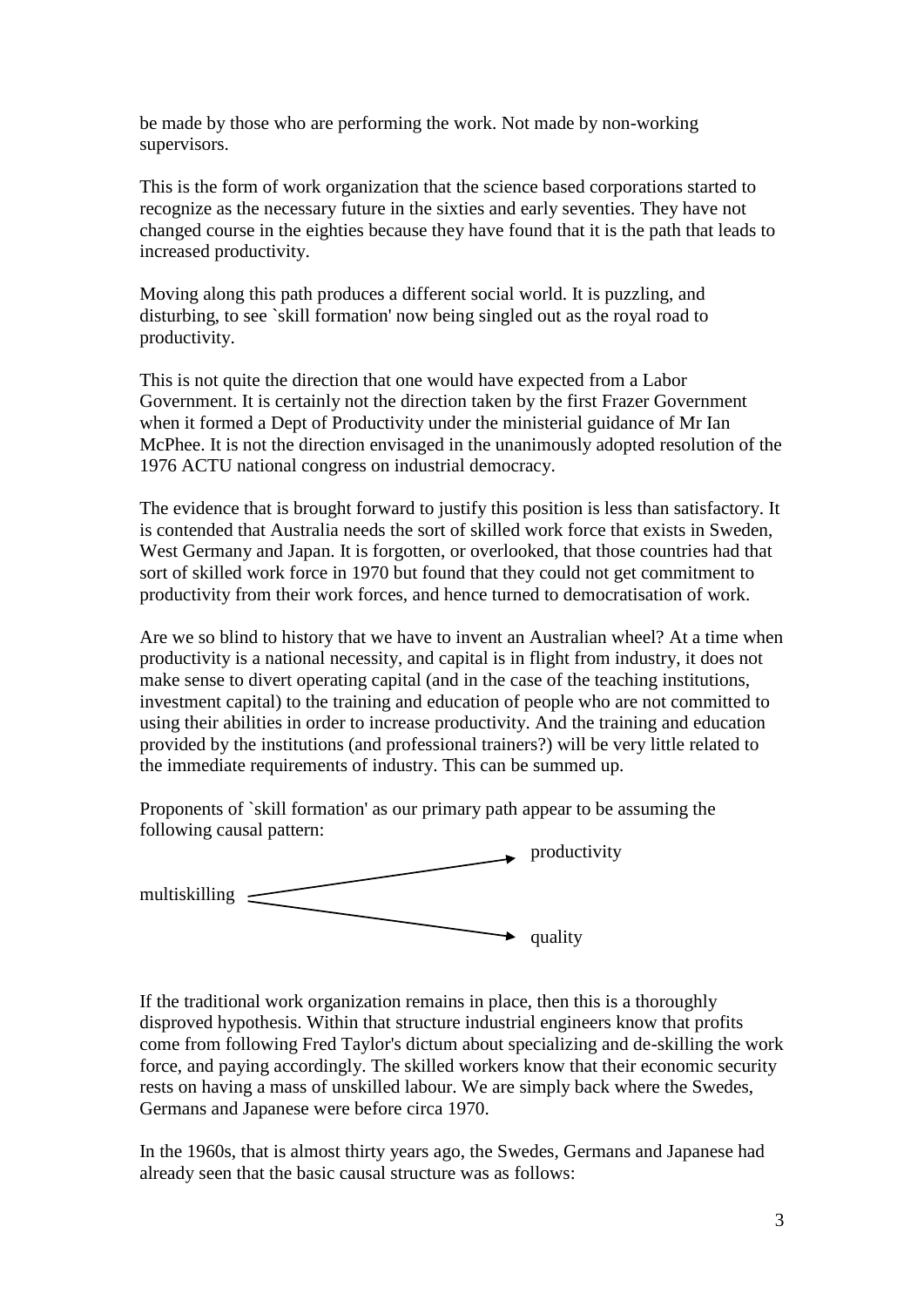be made by those who are performing the work. Not made by non-working supervisors.

This is the form of work organization that the science based corporations started to recognize as the necessary future in the sixties and early seventies. They have not changed course in the eighties because they have found that it is the path that leads to increased productivity.

Moving along this path produces a different social world. It is puzzling, and disturbing, to see `skill formation' now being singled out as the royal road to productivity.

This is not quite the direction that one would have expected from a Labor Government. It is certainly not the direction taken by the first Frazer Government when it formed a Dept of Productivity under the ministerial guidance of Mr Ian McPhee. It is not the direction envisaged in the unanimously adopted resolution of the 1976 ACTU national congress on industrial democracy.

The evidence that is brought forward to justify this position is less than satisfactory. It is contended that Australia needs the sort of skilled work force that exists in Sweden, West Germany and Japan. It is forgotten, or overlooked, that those countries had that sort of skilled work force in 1970 but found that they could not get commitment to productivity from their work forces, and hence turned to democratisation of work.

Are we so blind to history that we have to invent an Australian wheel? At a time when productivity is a national necessity, and capital is in flight from industry, it does not make sense to divert operating capital (and in the case of the teaching institutions, investment capital) to the training and education of people who are not committed to using their abilities in order to increase productivity. And the training and education provided by the institutions (and professional trainers?) will be very little related to the immediate requirements of industry. This can be summed up.

Proponents of `skill formation' as our primary path appear to be assuming the following causal pattern:



If the traditional work organization remains in place, then this is a thoroughly disproved hypothesis. Within that structure industrial engineers know that profits come from following Fred Taylor's dictum about specializing and de-skilling the work force, and paying accordingly. The skilled workers know that their economic security rests on having a mass of unskilled labour. We are simply back where the Swedes, Germans and Japanese were before circa 1970.

In the 1960s, that is almost thirty years ago, the Swedes, Germans and Japanese had already seen that the basic causal structure was as follows: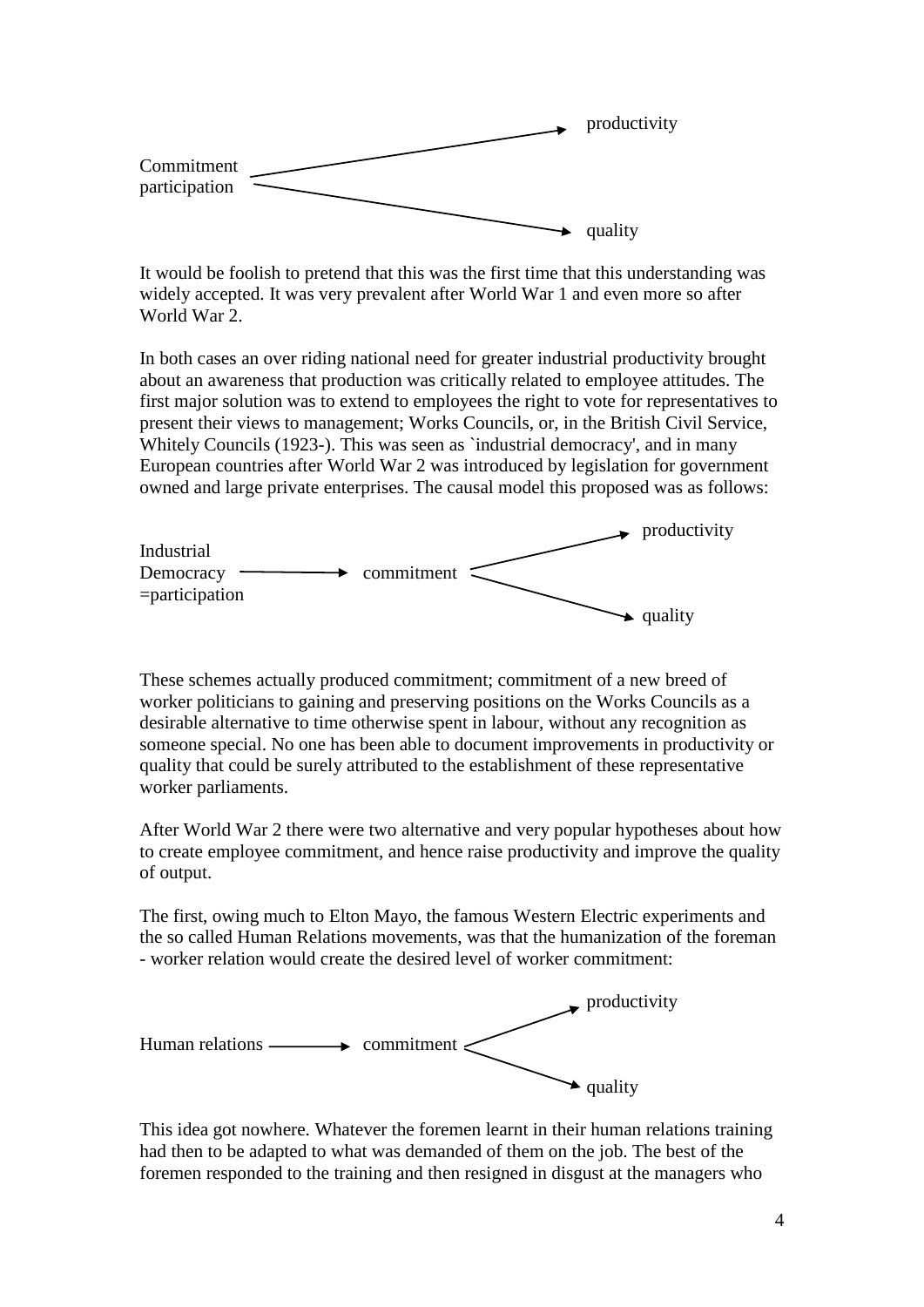

It would be foolish to pretend that this was the first time that this understanding was widely accepted. It was very prevalent after World War 1 and even more so after World War 2.

In both cases an over riding national need for greater industrial productivity brought about an awareness that production was critically related to employee attitudes. The first major solution was to extend to employees the right to vote for representatives to present their views to management; Works Councils, or, in the British Civil Service, Whitely Councils (1923-). This was seen as `industrial democracy', and in many European countries after World War 2 was introduced by legislation for government owned and large private enterprises. The causal model this proposed was as follows:



These schemes actually produced commitment; commitment of a new breed of worker politicians to gaining and preserving positions on the Works Councils as a desirable alternative to time otherwise spent in labour, without any recognition as someone special. No one has been able to document improvements in productivity or quality that could be surely attributed to the establishment of these representative worker parliaments.

After World War 2 there were two alternative and very popular hypotheses about how to create employee commitment, and hence raise productivity and improve the quality of output.

The first, owing much to Elton Mayo, the famous Western Electric experiments and the so called Human Relations movements, was that the humanization of the foreman - worker relation would create the desired level of worker commitment:



This idea got nowhere. Whatever the foremen learnt in their human relations training had then to be adapted to what was demanded of them on the job. The best of the foremen responded to the training and then resigned in disgust at the managers who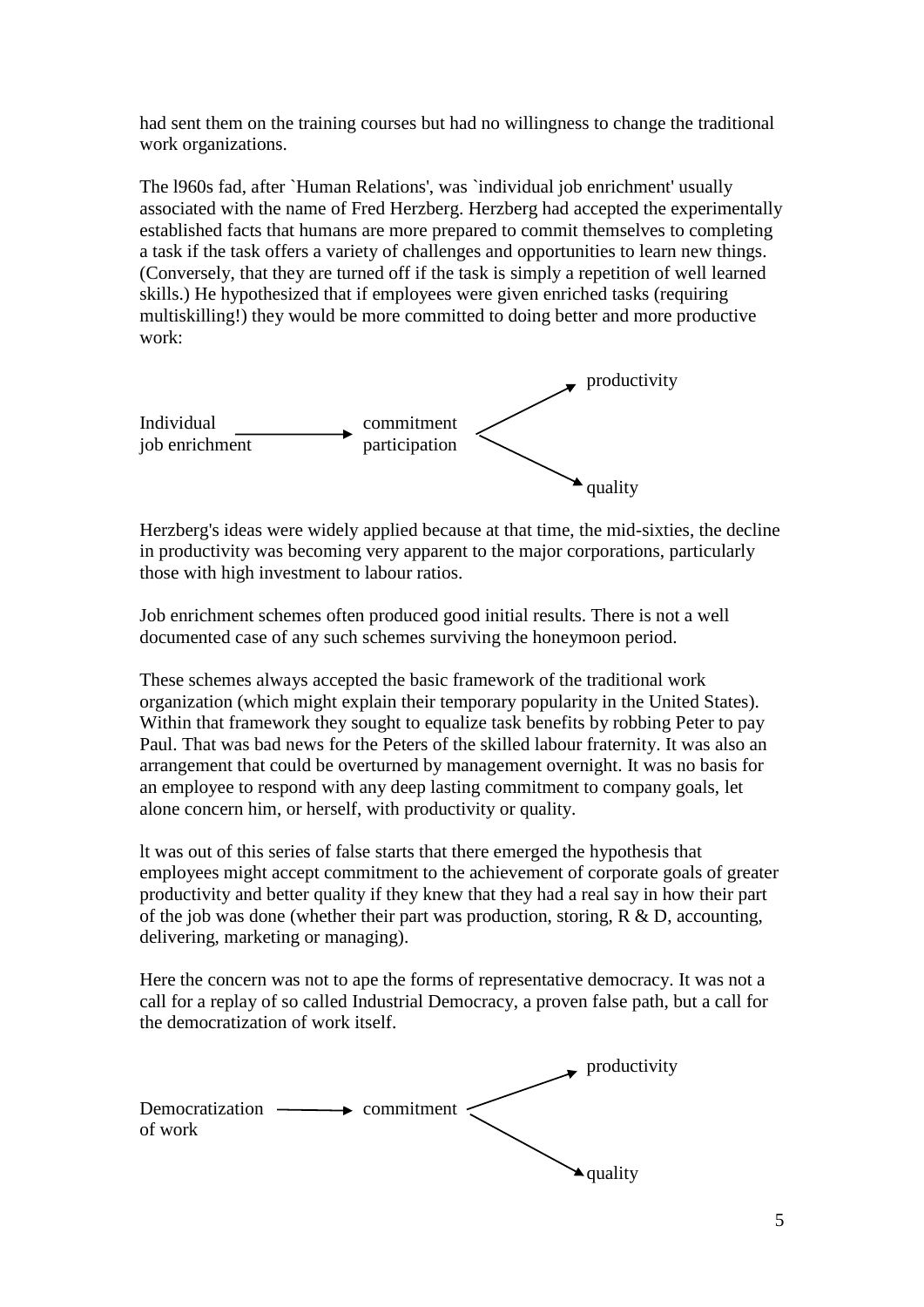had sent them on the training courses but had no willingness to change the traditional work organizations.

The l960s fad, after `Human Relations', was `individual job enrichment' usually associated with the name of Fred Herzberg. Herzberg had accepted the experimentally established facts that humans are more prepared to commit themselves to completing a task if the task offers a variety of challenges and opportunities to learn new things. (Conversely, that they are turned off if the task is simply a repetition of well learned skills.) He hypothesized that if employees were given enriched tasks (requiring multiskilling!) they would be more committed to doing better and more productive work:



Herzberg's ideas were widely applied because at that time, the mid-sixties, the decline in productivity was becoming very apparent to the major corporations, particularly those with high investment to labour ratios.

Job enrichment schemes often produced good initial results. There is not a well documented case of any such schemes surviving the honeymoon period.

These schemes always accepted the basic framework of the traditional work organization (which might explain their temporary popularity in the United States). Within that framework they sought to equalize task benefits by robbing Peter to pay Paul. That was bad news for the Peters of the skilled labour fraternity. It was also an arrangement that could be overturned by management overnight. It was no basis for an employee to respond with any deep lasting commitment to company goals, let alone concern him, or herself, with productivity or quality.

lt was out of this series of false starts that there emerged the hypothesis that employees might accept commitment to the achievement of corporate goals of greater productivity and better quality if they knew that they had a real say in how their part of the job was done (whether their part was production, storing,  $R \& D$ , accounting, delivering, marketing or managing).

Here the concern was not to ape the forms of representative democracy. It was not a call for a replay of so called Industrial Democracy, a proven false path, but a call for the democratization of work itself.

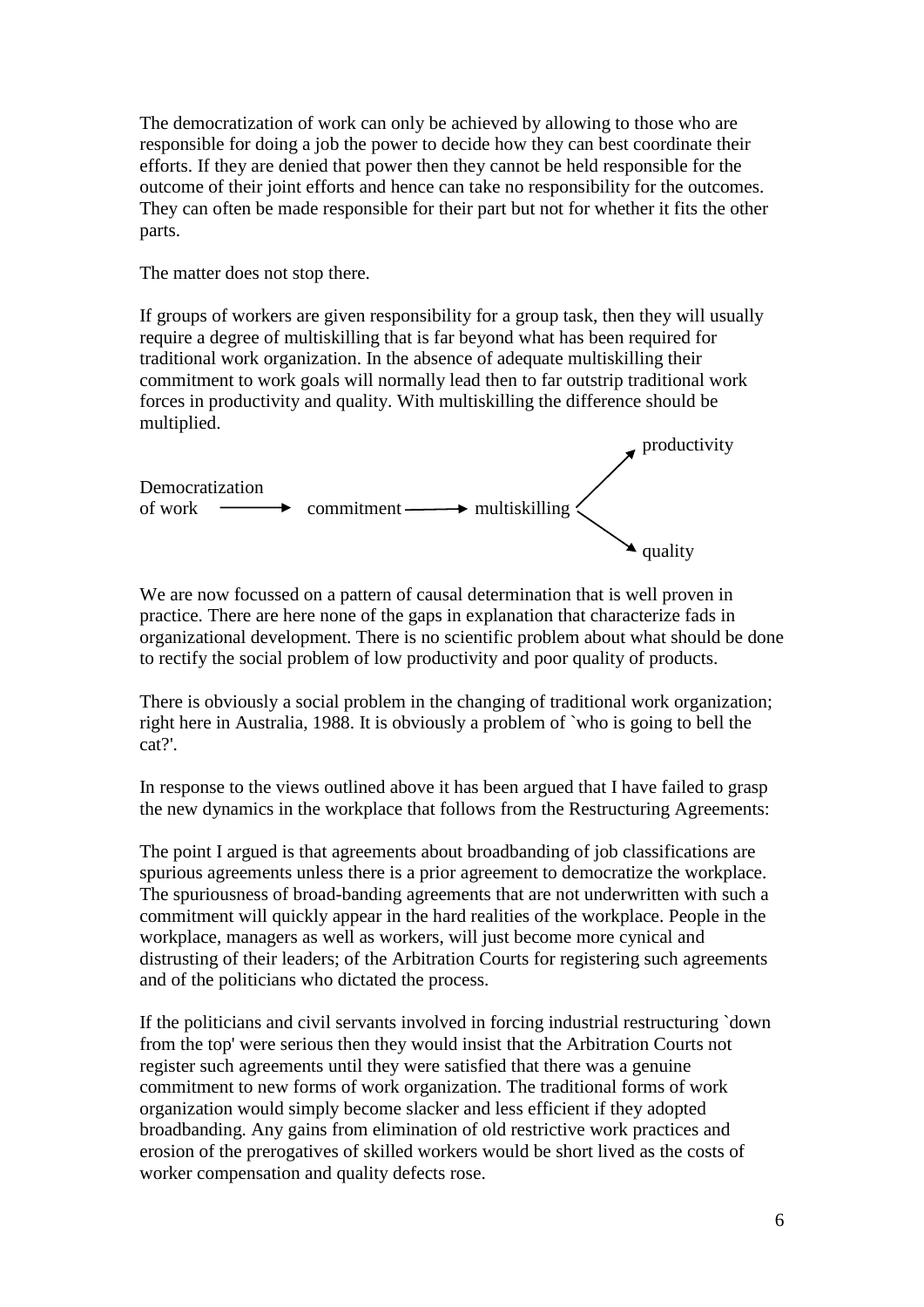The democratization of work can only be achieved by allowing to those who are responsible for doing a job the power to decide how they can best coordinate their efforts. If they are denied that power then they cannot be held responsible for the outcome of their joint efforts and hence can take no responsibility for the outcomes. They can often be made responsible for their part but not for whether it fits the other parts.

The matter does not stop there.

If groups of workers are given responsibility for a group task, then they will usually require a degree of multiskilling that is far beyond what has been required for traditional work organization. In the absence of adequate multiskilling their commitment to work goals will normally lead then to far outstrip traditional work forces in productivity and quality. With multiskilling the difference should be multiplied.



We are now focussed on a pattern of causal determination that is well proven in practice. There are here none of the gaps in explanation that characterize fads in organizational development. There is no scientific problem about what should be done to rectify the social problem of low productivity and poor quality of products.

There is obviously a social problem in the changing of traditional work organization; right here in Australia, 1988. It is obviously a problem of `who is going to bell the cat?'.

In response to the views outlined above it has been argued that I have failed to grasp the new dynamics in the workplace that follows from the Restructuring Agreements:

The point I argued is that agreements about broadbanding of job classifications are spurious agreements unless there is a prior agreement to democratize the workplace. The spuriousness of broad-banding agreements that are not underwritten with such a commitment will quickly appear in the hard realities of the workplace. People in the workplace, managers as well as workers, will just become more cynical and distrusting of their leaders; of the Arbitration Courts for registering such agreements and of the politicians who dictated the process.

If the politicians and civil servants involved in forcing industrial restructuring `down from the top' were serious then they would insist that the Arbitration Courts not register such agreements until they were satisfied that there was a genuine commitment to new forms of work organization. The traditional forms of work organization would simply become slacker and less efficient if they adopted broadbanding. Any gains from elimination of old restrictive work practices and erosion of the prerogatives of skilled workers would be short lived as the costs of worker compensation and quality defects rose.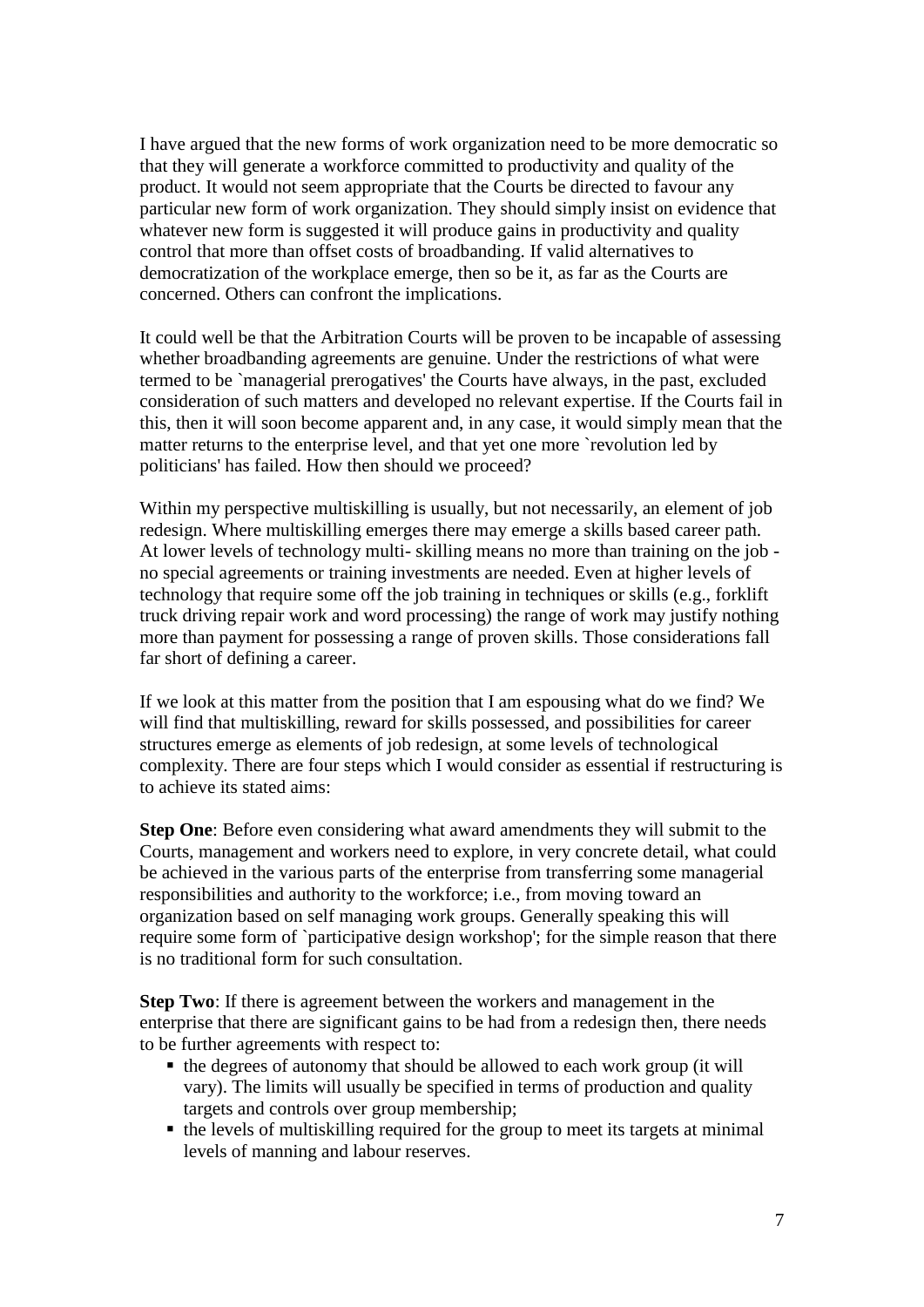I have argued that the new forms of work organization need to be more democratic so that they will generate a workforce committed to productivity and quality of the product. It would not seem appropriate that the Courts be directed to favour any particular new form of work organization. They should simply insist on evidence that whatever new form is suggested it will produce gains in productivity and quality control that more than offset costs of broadbanding. If valid alternatives to democratization of the workplace emerge, then so be it, as far as the Courts are concerned. Others can confront the implications.

It could well be that the Arbitration Courts will be proven to be incapable of assessing whether broadbanding agreements are genuine. Under the restrictions of what were termed to be `managerial prerogatives' the Courts have always, in the past, excluded consideration of such matters and developed no relevant expertise. If the Courts fail in this, then it will soon become apparent and, in any case, it would simply mean that the matter returns to the enterprise level, and that yet one more `revolution led by politicians' has failed. How then should we proceed?

Within my perspective multiskilling is usually, but not necessarily, an element of job redesign. Where multiskilling emerges there may emerge a skills based career path. At lower levels of technology multi- skilling means no more than training on the job no special agreements or training investments are needed. Even at higher levels of technology that require some off the job training in techniques or skills (e.g., forklift truck driving repair work and word processing) the range of work may justify nothing more than payment for possessing a range of proven skills. Those considerations fall far short of defining a career.

If we look at this matter from the position that I am espousing what do we find? We will find that multiskilling, reward for skills possessed, and possibilities for career structures emerge as elements of job redesign, at some levels of technological complexity. There are four steps which I would consider as essential if restructuring is to achieve its stated aims:

**Step One**: Before even considering what award amendments they will submit to the Courts, management and workers need to explore, in very concrete detail, what could be achieved in the various parts of the enterprise from transferring some managerial responsibilities and authority to the workforce; i.e., from moving toward an organization based on self managing work groups. Generally speaking this will require some form of `participative design workshop'; for the simple reason that there is no traditional form for such consultation.

**Step Two**: If there is agreement between the workers and management in the enterprise that there are significant gains to be had from a redesign then, there needs to be further agreements with respect to:

- the degrees of autonomy that should be allowed to each work group (it will vary). The limits will usually be specified in terms of production and quality targets and controls over group membership;
- $\blacksquare$  the levels of multiskilling required for the group to meet its targets at minimal levels of manning and labour reserves.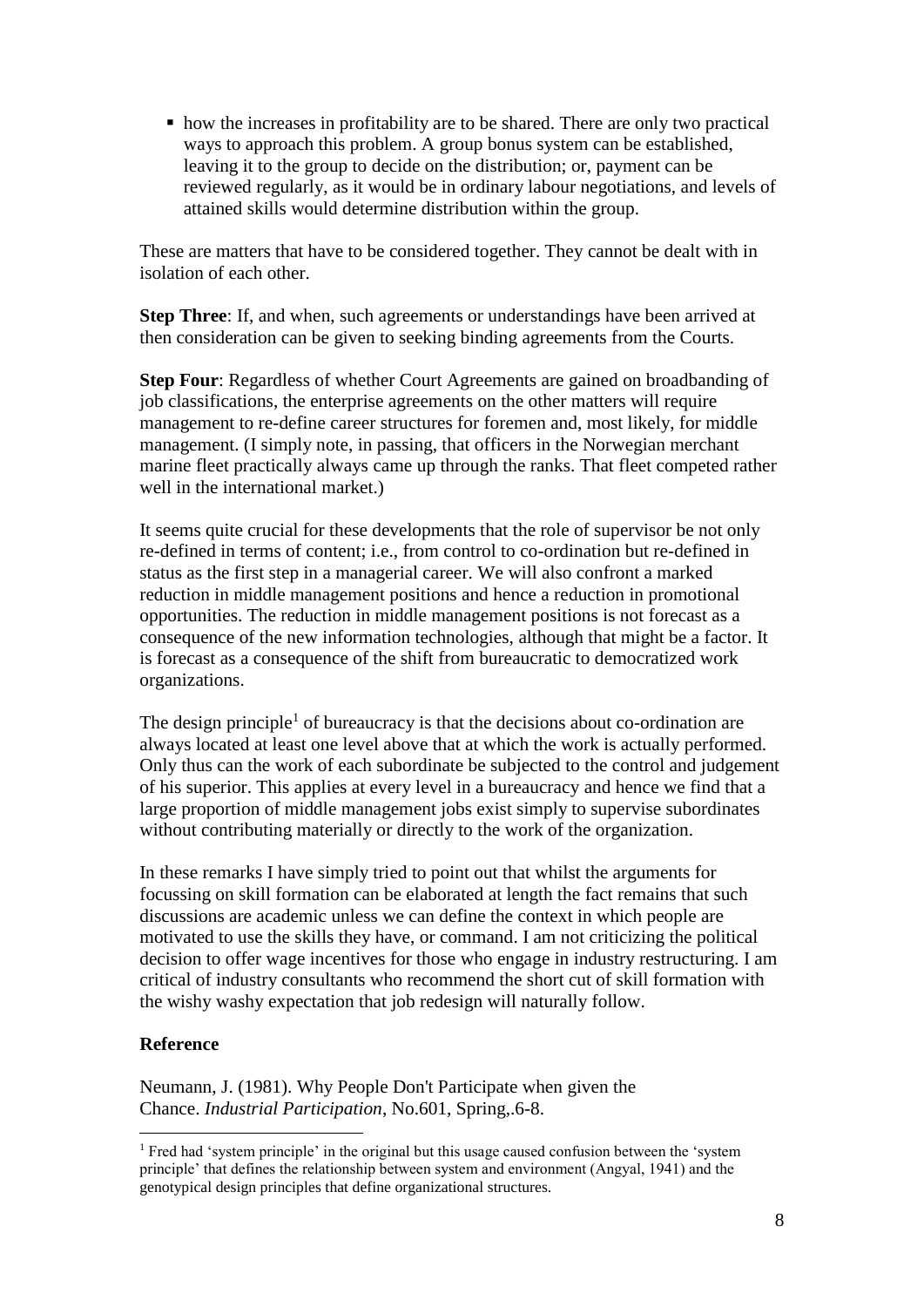■ how the increases in profitability are to be shared. There are only two practical ways to approach this problem. A group bonus system can be established, leaving it to the group to decide on the distribution; or, payment can be reviewed regularly, as it would be in ordinary labour negotiations, and levels of attained skills would determine distribution within the group.

These are matters that have to be considered together. They cannot be dealt with in isolation of each other.

**Step Three**: If, and when, such agreements or understandings have been arrived at then consideration can be given to seeking binding agreements from the Courts.

**Step Four**: Regardless of whether Court Agreements are gained on broadbanding of job classifications, the enterprise agreements on the other matters will require management to re-define career structures for foremen and, most likely, for middle management. (I simply note, in passing, that officers in the Norwegian merchant marine fleet practically always came up through the ranks. That fleet competed rather well in the international market.)

It seems quite crucial for these developments that the role of supervisor be not only re-defined in terms of content; i.e., from control to co-ordination but re-defined in status as the first step in a managerial career. We will also confront a marked reduction in middle management positions and hence a reduction in promotional opportunities. The reduction in middle management positions is not forecast as a consequence of the new information technologies, although that might be a factor. It is forecast as a consequence of the shift from bureaucratic to democratized work organizations.

The design principle<sup>1</sup> of bureaucracy is that the decisions about co-ordination are always located at least one level above that at which the work is actually performed. Only thus can the work of each subordinate be subjected to the control and judgement of his superior. This applies at every level in a bureaucracy and hence we find that a large proportion of middle management jobs exist simply to supervise subordinates without contributing materially or directly to the work of the organization.

In these remarks I have simply tried to point out that whilst the arguments for focussing on skill formation can be elaborated at length the fact remains that such discussions are academic unless we can define the context in which people are motivated to use the skills they have, or command. I am not criticizing the political decision to offer wage incentives for those who engage in industry restructuring. I am critical of industry consultants who recommend the short cut of skill formation with the wishy washy expectation that job redesign will naturally follow.

# **Reference**

<u>.</u>

Neumann, J. (1981). Why People Don't Participate when given the Chance. *Industrial Participation*, No.601, Spring,.6-8.

<sup>&</sup>lt;sup>1</sup> Fred had 'system principle' in the original but this usage caused confusion between the 'system principle' that defines the relationship between system and environment (Angyal, 1941) and the genotypical design principles that define organizational structures.